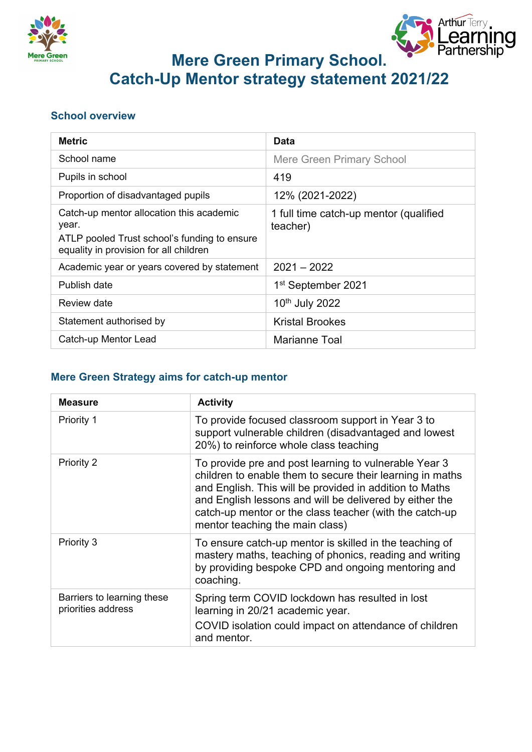



# **Mere Green Primary School. Catch-Up Mentor strategy statement 2021/22**

#### **School overview**

| <b>Metric</b>                                                                                                                               | <b>Data</b>                                        |
|---------------------------------------------------------------------------------------------------------------------------------------------|----------------------------------------------------|
| School name                                                                                                                                 | <b>Mere Green Primary School</b>                   |
| Pupils in school                                                                                                                            | 419                                                |
| Proportion of disadvantaged pupils                                                                                                          | 12% (2021-2022)                                    |
| Catch-up mentor allocation this academic<br>year.<br>ATLP pooled Trust school's funding to ensure<br>equality in provision for all children | 1 full time catch-up mentor (qualified<br>teacher) |
| Academic year or years covered by statement                                                                                                 | $2021 - 2022$                                      |
| Publish date                                                                                                                                | 1 <sup>st</sup> September 2021                     |
| Review date                                                                                                                                 | 10 <sup>th</sup> July 2022                         |
| Statement authorised by                                                                                                                     | <b>Kristal Brookes</b>                             |
| Catch-up Mentor Lead                                                                                                                        | <b>Marianne Toal</b>                               |

#### **Mere Green Strategy aims for catch-up mentor**

| <b>Measure</b>                                   | <b>Activity</b>                                                                                                                                                                                                                                                                                                                        |
|--------------------------------------------------|----------------------------------------------------------------------------------------------------------------------------------------------------------------------------------------------------------------------------------------------------------------------------------------------------------------------------------------|
| Priority 1                                       | To provide focused classroom support in Year 3 to<br>support vulnerable children (disadvantaged and lowest<br>20%) to reinforce whole class teaching                                                                                                                                                                                   |
| Priority 2                                       | To provide pre and post learning to vulnerable Year 3<br>children to enable them to secure their learning in maths<br>and English. This will be provided in addition to Maths<br>and English lessons and will be delivered by either the<br>catch-up mentor or the class teacher (with the catch-up<br>mentor teaching the main class) |
| Priority 3                                       | To ensure catch-up mentor is skilled in the teaching of<br>mastery maths, teaching of phonics, reading and writing<br>by providing bespoke CPD and ongoing mentoring and<br>coaching.                                                                                                                                                  |
| Barriers to learning these<br>priorities address | Spring term COVID lockdown has resulted in lost<br>learning in 20/21 academic year.<br>COVID isolation could impact on attendance of children<br>and mentor.                                                                                                                                                                           |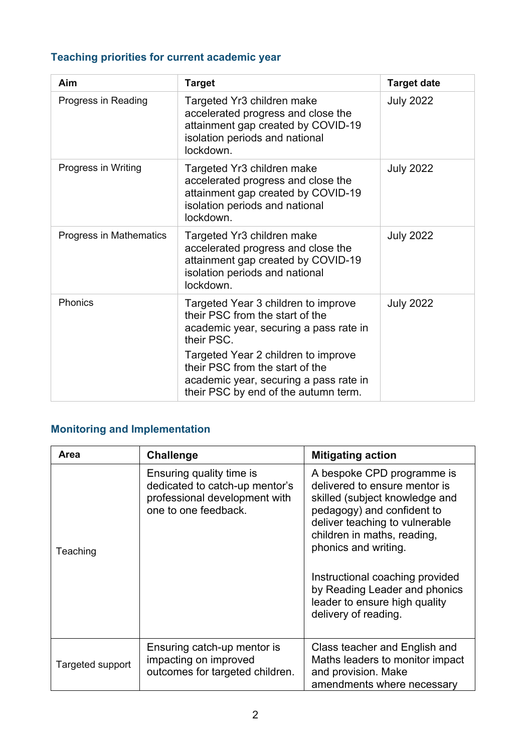### **Teaching priorities for current academic year**

| Aim                     | <b>Target</b>                                                                                                                                            | <b>Target date</b> |
|-------------------------|----------------------------------------------------------------------------------------------------------------------------------------------------------|--------------------|
| Progress in Reading     | Targeted Yr3 children make<br>accelerated progress and close the<br>attainment gap created by COVID-19<br>isolation periods and national<br>lockdown.    | <b>July 2022</b>   |
| Progress in Writing     | Targeted Yr3 children make<br>accelerated progress and close the<br>attainment gap created by COVID-19<br>isolation periods and national<br>lockdown.    | <b>July 2022</b>   |
| Progress in Mathematics | Targeted Yr3 children make<br>accelerated progress and close the<br>attainment gap created by COVID-19<br>isolation periods and national<br>lockdown.    | <b>July 2022</b>   |
| Phonics                 | Targeted Year 3 children to improve<br>their PSC from the start of the<br>academic year, securing a pass rate in<br>their PSC.                           | <b>July 2022</b>   |
|                         | Targeted Year 2 children to improve<br>their PSC from the start of the<br>academic year, securing a pass rate in<br>their PSC by end of the autumn term. |                    |

### **Monitoring and Implementation**

| Area             | <b>Challenge</b>                                                                                                    | <b>Mitigating action</b>                                                                                                                                                                                                                                                                                                                          |
|------------------|---------------------------------------------------------------------------------------------------------------------|---------------------------------------------------------------------------------------------------------------------------------------------------------------------------------------------------------------------------------------------------------------------------------------------------------------------------------------------------|
| Teaching         | Ensuring quality time is<br>dedicated to catch-up mentor's<br>professional development with<br>one to one feedback. | A bespoke CPD programme is<br>delivered to ensure mentor is<br>skilled (subject knowledge and<br>pedagogy) and confident to<br>deliver teaching to vulnerable<br>children in maths, reading,<br>phonics and writing.<br>Instructional coaching provided<br>by Reading Leader and phonics<br>leader to ensure high quality<br>delivery of reading. |
| Targeted support | Ensuring catch-up mentor is<br>impacting on improved<br>outcomes for targeted children.                             | Class teacher and English and<br>Maths leaders to monitor impact<br>and provision. Make<br>amendments where necessary                                                                                                                                                                                                                             |